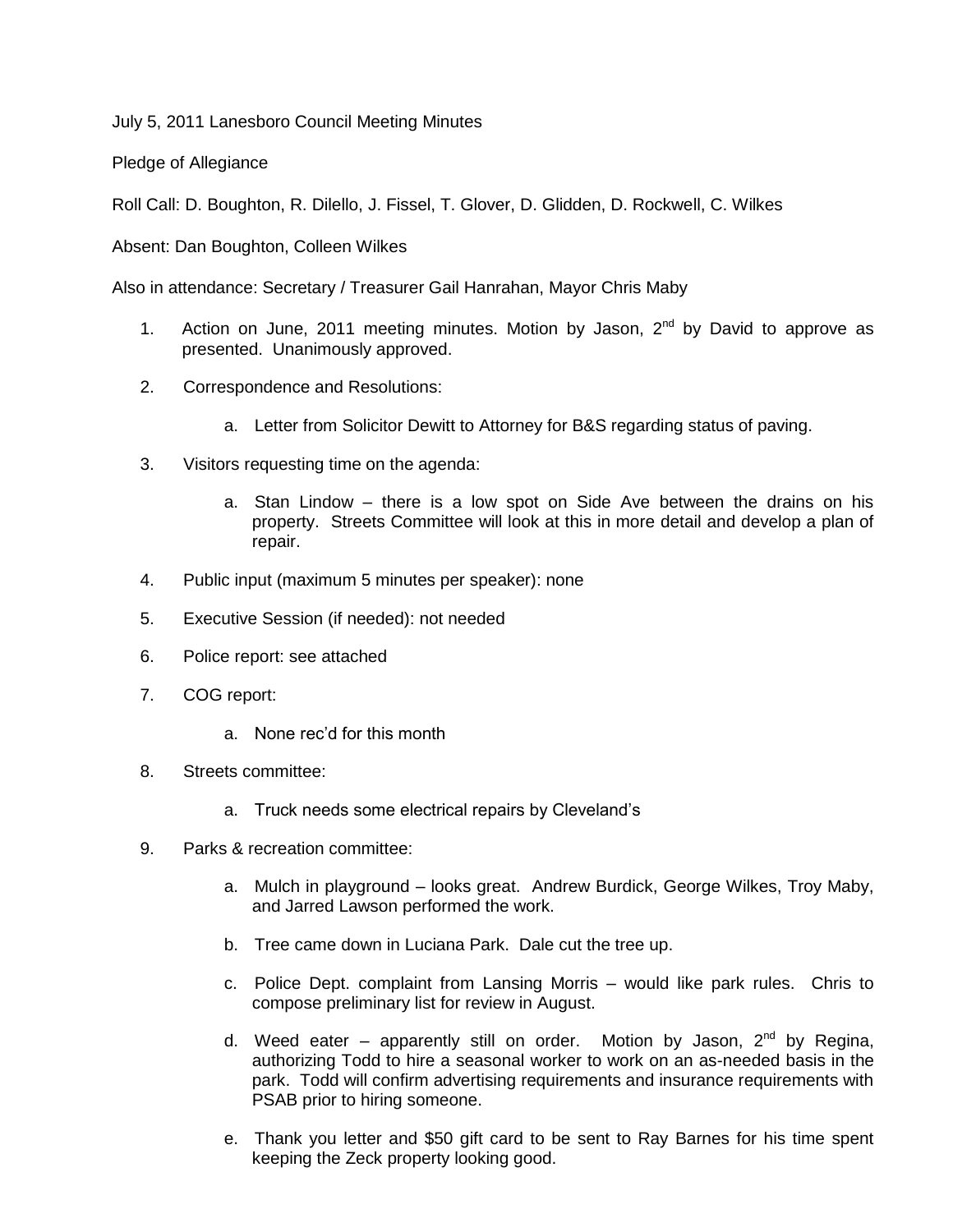July 5, 2011 Lanesboro Council Meeting Minutes

Pledge of Allegiance

Roll Call: D. Boughton, R. Dilello, J. Fissel, T. Glover, D. Glidden, D. Rockwell, C. Wilkes

Absent: Dan Boughton, Colleen Wilkes

Also in attendance: Secretary / Treasurer Gail Hanrahan, Mayor Chris Maby

- 1. Action on June, 2011 meeting minutes. Motion by Jason,  $2^{nd}$  by David to approve as presented. Unanimously approved.
- 2. Correspondence and Resolutions:
	- a. Letter from Solicitor Dewitt to Attorney for B&S regarding status of paving.
- 3. Visitors requesting time on the agenda:
	- a. Stan Lindow there is a low spot on Side Ave between the drains on his property. Streets Committee will look at this in more detail and develop a plan of repair.
- 4. Public input (maximum 5 minutes per speaker): none
- 5. Executive Session (if needed): not needed
- 6. Police report: see attached
- 7. COG report:
	- a. None rec'd for this month
- 8. Streets committee:
	- a. Truck needs some electrical repairs by Cleveland's
- 9. Parks & recreation committee:
	- a. Mulch in playground looks great. Andrew Burdick, George Wilkes, Troy Maby, and Jarred Lawson performed the work.
	- b. Tree came down in Luciana Park. Dale cut the tree up.
	- c. Police Dept. complaint from Lansing Morris would like park rules. Chris to compose preliminary list for review in August.
	- d. Weed eater apparently still on order. Motion by Jason,  $2^{nd}$  by Regina, authorizing Todd to hire a seasonal worker to work on an as-needed basis in the park. Todd will confirm advertising requirements and insurance requirements with PSAB prior to hiring someone.
	- e. Thank you letter and \$50 gift card to be sent to Ray Barnes for his time spent keeping the Zeck property looking good.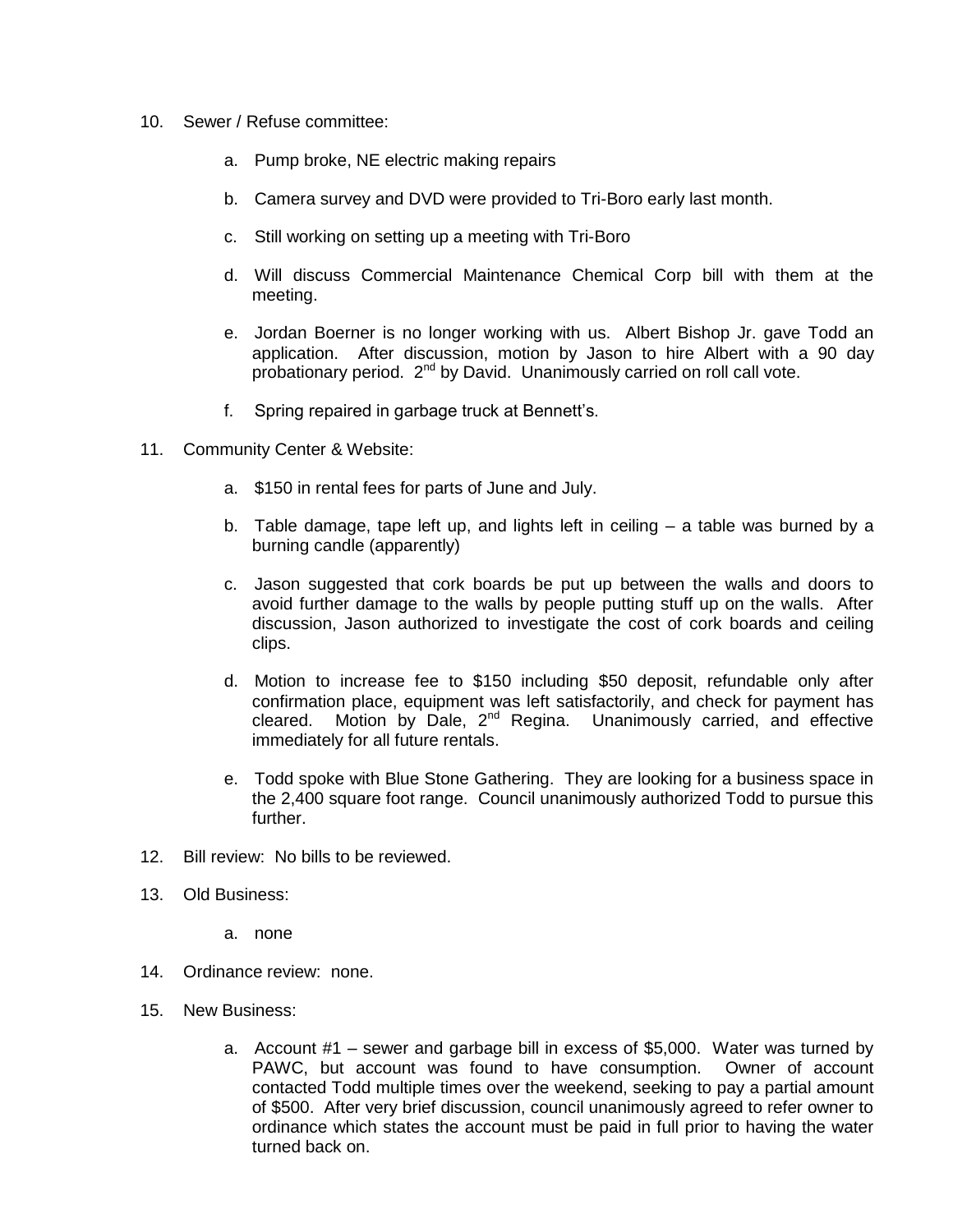- 10. Sewer / Refuse committee:
	- a. Pump broke, NE electric making repairs
	- b. Camera survey and DVD were provided to Tri-Boro early last month.
	- c. Still working on setting up a meeting with Tri-Boro
	- d. Will discuss Commercial Maintenance Chemical Corp bill with them at the meeting.
	- e. Jordan Boerner is no longer working with us. Albert Bishop Jr. gave Todd an application. After discussion, motion by Jason to hire Albert with a 90 day probationary period. 2<sup>nd</sup> by David. Unanimously carried on roll call vote.
	- f. Spring repaired in garbage truck at Bennett's.
- 11. Community Center & Website:
	- a. \$150 in rental fees for parts of June and July.
	- b. Table damage, tape left up, and lights left in ceiling a table was burned by a burning candle (apparently)
	- c. Jason suggested that cork boards be put up between the walls and doors to avoid further damage to the walls by people putting stuff up on the walls. After discussion, Jason authorized to investigate the cost of cork boards and ceiling clips.
	- d. Motion to increase fee to \$150 including \$50 deposit, refundable only after confirmation place, equipment was left satisfactorily, and check for payment has cleared. Motion by Dale,  $2^{nd}$  Regina. Unanimously carried, and effective immediately for all future rentals.
	- e. Todd spoke with Blue Stone Gathering. They are looking for a business space in the 2,400 square foot range. Council unanimously authorized Todd to pursue this further.
- 12. Bill review: No bills to be reviewed.
- 13. Old Business:
	- a. none
- 14. Ordinance review: none.
- 15. New Business:
	- a. Account #1 sewer and garbage bill in excess of \$5,000. Water was turned by PAWC, but account was found to have consumption. Owner of account contacted Todd multiple times over the weekend, seeking to pay a partial amount of \$500. After very brief discussion, council unanimously agreed to refer owner to ordinance which states the account must be paid in full prior to having the water turned back on.